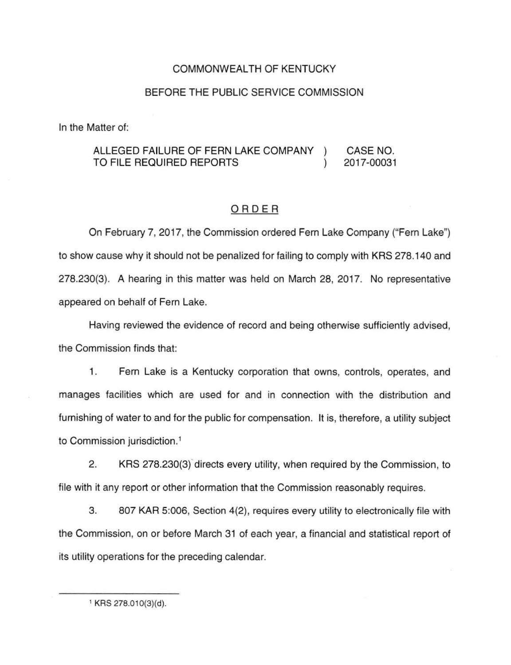## COMMONWEALTH OF KENTUCKY

## BEFORE THE PUBLIC SERVICE COMMISSION

In the Matter of:

## ALLEGED FAILURE OF FERN LAKE COMPANY CASE NO. TO FILE REQUIRED REPORTS 2017-00031  $\mathcal{L}$

## ORDER

On February 7, 2017, the Commission ordered Fern Lake Company ("Fern Lake") to show cause why it should not be penalized for failing to comply with KRS 278.140 and 278.230(3). A hearing in this matter was held on March 28, 2017. No representative appeared on behalf of Fern Lake.

Having reviewed the evidence of record and being otherwise sufficiently advised, the Commission finds that:

1. Fern Lake is a Kentucky corporation that owns, controls, operates, and manages facilities which are used for and in connection with the distribution and furnishing of water to and for the public for compensation. It is, therefore, a utility subject to Commission jurisdiction. 1

2. KRS 278.230(3) directs every utility, when required by the Commission, to file with it any report or other information that the Commission reasonably requires.

3. 807 KAR 5:006, Section 4(2), requires every utility to electronically file with the Commission, on or before March 31 of each year, a financial and statistical report of its utility operations for the preceding calendar.

<sup>&</sup>lt;sup>1</sup> KRS 278.010(3)(d).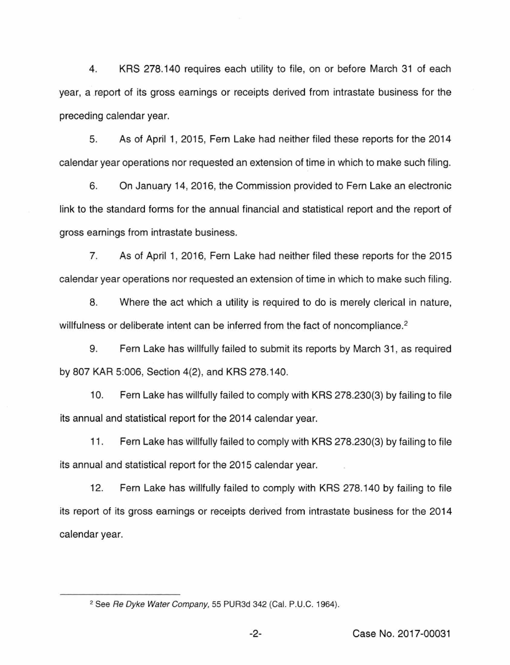4. KRS 278.140 requires each utility to file, on or before March 31 of each year, a report of its gross earnings or receipts derived from intrastate business for the preceding calendar year.

5. As of April 1, 2015, Fern Lake had neither filed these reports for the 2014 calendar year operations nor requested an extension of time in which to make such filing.

6. On January 14, 2016, the Commission provided to Fern Lake an electronic link to the standard forms for the annual financial and statistical report and the report of gross earnings from intrastate business.

7. As of April 1, 2016, Fern Lake had neither filed these reports for the 2015 calendar year operations nor requested an extension of time in which to make such filing.

8. Where the act which a utility is required to do is merely clerical in nature, willfulness or deliberate intent can be inferred from the fact of noncompliance.<sup>2</sup>

9. Fern Lake has willfully failed to submit its reports by March 31 , as required by 807 KAR 5:006, Section 4(2), and KRS 278.140.

10. Fern Lake has willfully failed to comply with KRS 278.230(3) by failing to file its annual and statistical report for the 2014 calendar year.

11 . Fern Lake has willfully failed to comply with KRS 278.230(3) by failing to file its annual and statistical report for the 2015 calendar year.

12. Fern Lake has willfully failed to comply with KRS 278.140 by failing to file its report of its gross earnings or receipts derived from intrastate business for the 2014 calendar year.

<sup>&</sup>lt;sup>2</sup> See Re Dyke Water Company, 55 PUR3d 342 (Cal. P.U.C. 1964).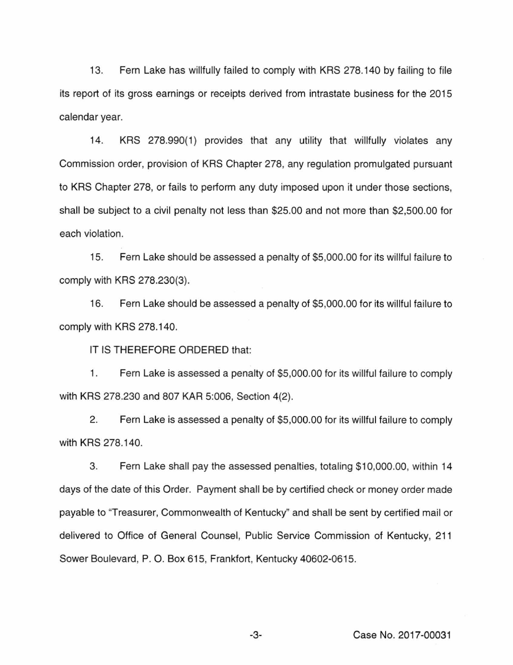13. Fern Lake has willfully failed to comply with KRS 278.140 by failing to file its report of its gross earnings or receipts derived from intrastate business for the 2015 calendar year.

14. KRS 278.990(1) provides that any utility that willfully violates any Commission order, provision of KRS Chapter 278, any regulation promulgated pursuant to KRS Chapter 278, or fails to perform any duty imposed upon it under those sections, shall be subject to a civil penalty not less than \$25.00 and not more than \$2,500.00 for each violation.

15. Fern Lake should be assessed a penalty of \$5,000.00 for its willful failure to comply with KRS 278.230(3).

16. Fern Lake should be assessed a penalty of \$5,000.00 for its willful failure to comply with KRS 278.140.

IT IS THEREFORE ORDERED that:

1. Fern Lake is assessed a penalty of \$5,000.00 for its willful failure to comply with KRS 278.230 and 807 KAR 5:006, Section 4(2).

2. Fern Lake is assessed a penalty of \$5,000.00 for its willful failure to comply with KRS 278.140.

3. Fern Lake shall pay the assessed penalties, totaling \$10,000.00, within 14 days of the date of this Order. Payment shall be by certified check or money order made payable to "Treasurer, Commonwealth of Kentucky'' and shall be sent by certified mail or delivered to Office of General Counsel, Public Service Commission of Kentucky, 211 Sower Boulevard, P. 0. Box 615, Frankfort, Kentucky 40602-0615.

-3- Case No. 2017-00031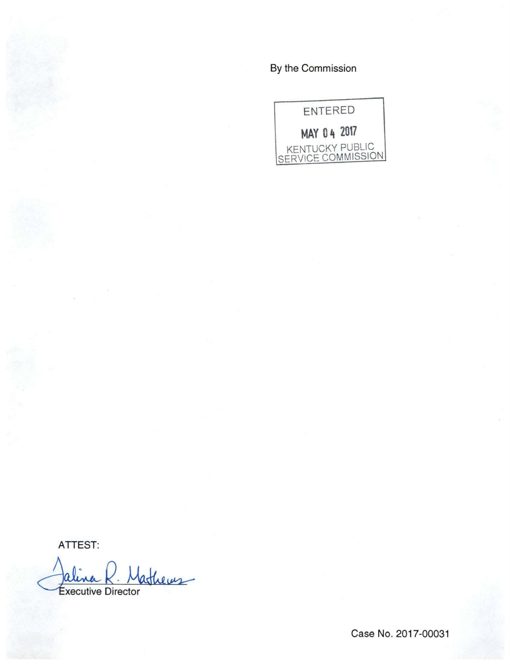By the Commission



ATTEST:

Mathems **Executive Director** 

Case No. 2017-00031